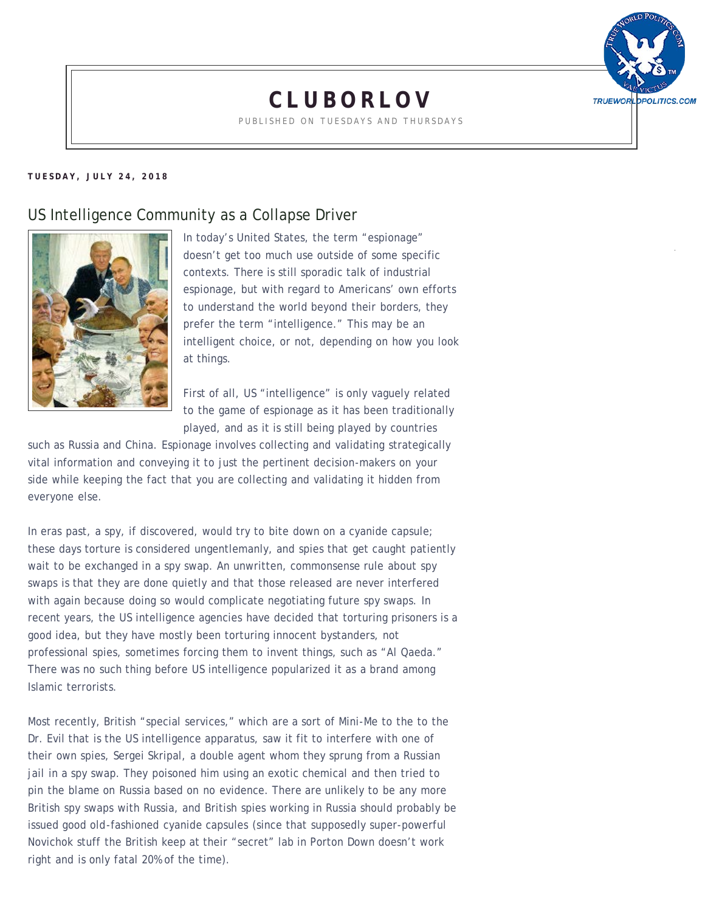

## **[CLUBORLOV](https://cluborlov.blogspot.com/2018/07/us-intelligence-community-as-collapse.html)**

PUBLISHED ON TUESDAYS AND THURSDAYS

## **TUESDAY, JULY 24, 2018**

## US Intelligence Community as a Collapse Driver



In today's United States, the term "espionage" doesn't get too much use outside of some specific contexts. There is still sporadic talk of industrial espionage, but with regard to Americans' own efforts to understand the world beyond their borders, they prefer the term "intelligence." This may be an intelligent choice, or not, depending on how you look at things.

First of all, US "intelligence" is only vaguely related to the game of espionage as it has been traditionally played, and as it is still being played by countries

such as Russia and China. Espionage involves collecting and validating strategically vital information and conveying it to just the pertinent decision-makers on your side while keeping the fact that you are collecting and validating it hidden from everyone else.

In eras past, a spy, if discovered, would try to bite down on a cyanide capsule; these days torture is considered ungentlemanly, and spies that get caught patiently wait to be exchanged in a spy swap. An unwritten, commonsense rule about spy swaps is that they are done quietly and that those released are never interfered with again because doing so would complicate negotiating future spy swaps. In recent years, the US intelligence agencies have decided that torturing prisoners is a good idea, but they have mostly been torturing innocent bystanders, not professional spies, sometimes forcing them to invent things, such as "Al Qaeda." There was no such thing before US intelligence popularized it as a brand among Islamic terrorists.

Most recently, British "special services," which are a sort of Mini-Me to the to the Dr. Evil that is the US intelligence apparatus, saw it fit to interfere with one of their own spies, Sergei Skripal, a double agent whom they sprung from a Russian jail in a spy swap. They poisoned him using an exotic chemical and then tried to pin the blame on Russia based on no evidence. There are unlikely to be any more British spy swaps with Russia, and British spies working in Russia should probably be issued good old-fashioned cyanide capsules (since that supposedly super-powerful Novichok stuff the British keep at their "secret" lab in Porton Down doesn't work right and is only fatal 20% of the time).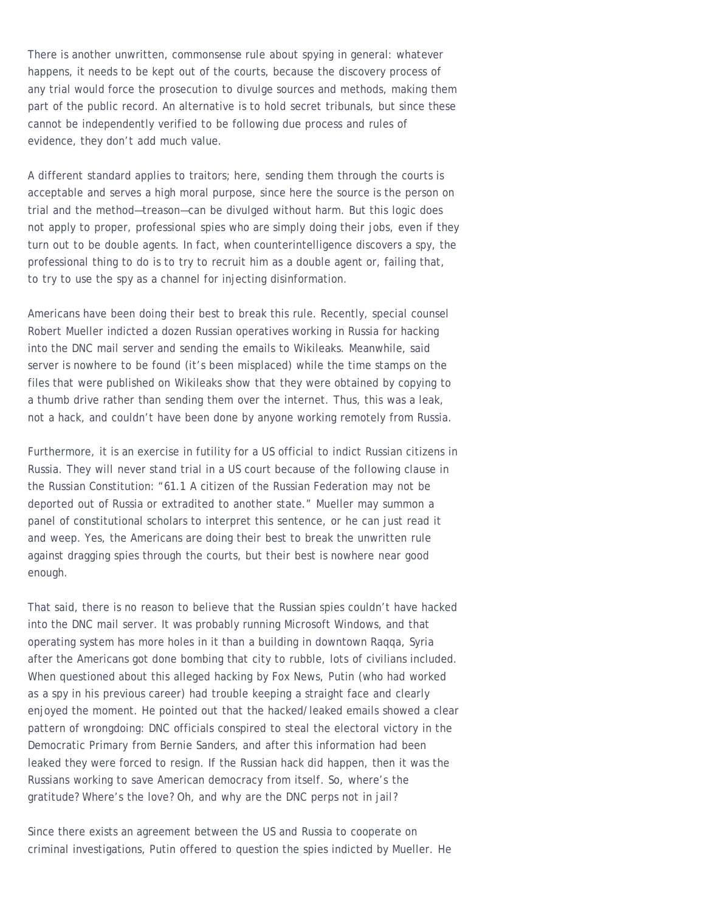There is another unwritten, commonsense rule about spying in general: whatever happens, it needs to be kept out of the courts, because the discovery process of any trial would force the prosecution to divulge sources and methods, making them part of the public record. An alternative is to hold secret tribunals, but since these cannot be independently verified to be following due process and rules of evidence, they don't add much value.

A different standard applies to traitors; here, sending them through the courts is acceptable and serves a high moral purpose, since here the source is the person on trial and the method—treason—can be divulged without harm. But this logic does not apply to proper, professional spies who are simply doing their jobs, even if they turn out to be double agents. In fact, when counterintelligence discovers a spy, the professional thing to do is to try to recruit him as a double agent or, failing that, to try to use the spy as a channel for injecting disinformation.

Americans have been doing their best to break this rule. Recently, special counsel Robert Mueller indicted a dozen Russian operatives working in Russia for hacking into the DNC mail server and sending the emails to Wikileaks. Meanwhile, said server is nowhere to be found (it's been misplaced) while the time stamps on the files that were published on Wikileaks show that they were obtained by copying to a thumb drive rather than sending them over the internet. Thus, this was a leak, not a hack, and couldn't have been done by anyone working remotely from Russia.

Furthermore, it is an exercise in futility for a US official to indict Russian citizens in Russia. They will never stand trial in a US court because of the following clause in the Russian Constitution: "61.1 A citizen of the Russian Federation may not be deported out of Russia or extradited to another state." Mueller may summon a panel of constitutional scholars to interpret this sentence, or he can just read it and weep. Yes, the Americans are doing their best to break the unwritten rule against dragging spies through the courts, but their best is nowhere near good enough.

That said, there is no reason to believe that the Russian spies couldn't have hacked into the DNC mail server. It was probably running Microsoft Windows, and that operating system has more holes in it than a building in downtown Raqqa, Syria after the Americans got done bombing that city to rubble, lots of civilians included. When questioned about this alleged hacking by Fox News, Putin (who had worked as a spy in his previous career) had trouble keeping a straight face and clearly enjoyed the moment. He pointed out that the hacked/leaked emails showed a clear pattern of wrongdoing: DNC officials conspired to steal the electoral victory in the Democratic Primary from Bernie Sanders, and after this information had been leaked they were forced to resign. If the Russian hack did happen, then it was the Russians working to save American democracy from itself. So, where's the gratitude? Where's the love? Oh, and why are the DNC perps not in jail?

Since there exists an agreement between the US and Russia to cooperate on criminal investigations, Putin offered to question the spies indicted by Mueller. He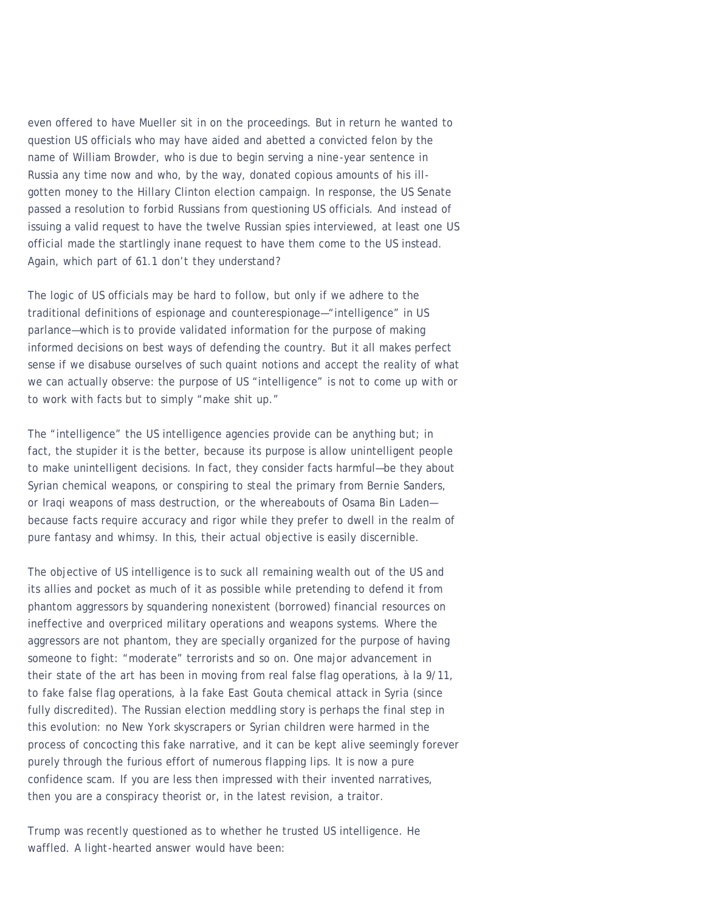even offered to have Mueller sit in on the proceedings. But in return he wanted to question US officials who may have aided and abetted a convicted felon by the name of William Browder, who is due to begin serving a nine-year sentence in Russia any time now and who, by the way, donated copious amounts of his illgotten money to the Hillary Clinton election campaign. In response, the US Senate passed a resolution to forbid Russians from questioning US officials. And instead of issuing a valid request to have the twelve Russian spies interviewed, at least one US official made the startlingly inane request to have them come to the US instead. Again, which part of 61.1 don't they understand?

The logic of US officials may be hard to follow, but only if we adhere to the traditional definitions of espionage and counterespionage—"intelligence" in US parlance—which is to provide validated information for the purpose of making informed decisions on best ways of defending the country. But it all makes perfect sense if we disabuse ourselves of such quaint notions and accept the reality of what we can actually observe: the purpose of US "intelligence" is not to come up with or to work with facts but to simply "make shit up."

The "intelligence" the US intelligence agencies provide can be anything but; in fact, the stupider it is the better, because its purpose is allow unintelligent people to make unintelligent decisions. In fact, they consider facts harmful—be they about Syrian chemical weapons, or conspiring to steal the primary from Bernie Sanders, or Iraqi weapons of mass destruction, or the whereabouts of Osama Bin Laden because facts require accuracy and rigor while they prefer to dwell in the realm of pure fantasy and whimsy. In this, their actual objective is easily discernible.

The objective of US intelligence is to suck all remaining wealth out of the US and its allies and pocket as much of it as possible while pretending to defend it from phantom aggressors by squandering nonexistent (borrowed) financial resources on ineffective and overpriced military operations and weapons systems. Where the aggressors are not phantom, they are specially organized for the purpose of having someone to fight: "moderate" terrorists and so on. One major advancement in their state of the art has been in moving from real false flag operations, à la 9/11, to fake false flag operations, à la fake East Gouta chemical attack in Syria (since fully discredited). The Russian election meddling story is perhaps the final step in this evolution: no New York skyscrapers or Syrian children were harmed in the process of concocting this fake narrative, and it can be kept alive seemingly forever purely through the furious effort of numerous flapping lips. It is now a pure confidence scam. If you are less then impressed with their invented narratives, then you are a conspiracy theorist or, in the latest revision, a traitor.

Trump was recently questioned as to whether he trusted US intelligence. He waffled. A light-hearted answer would have been: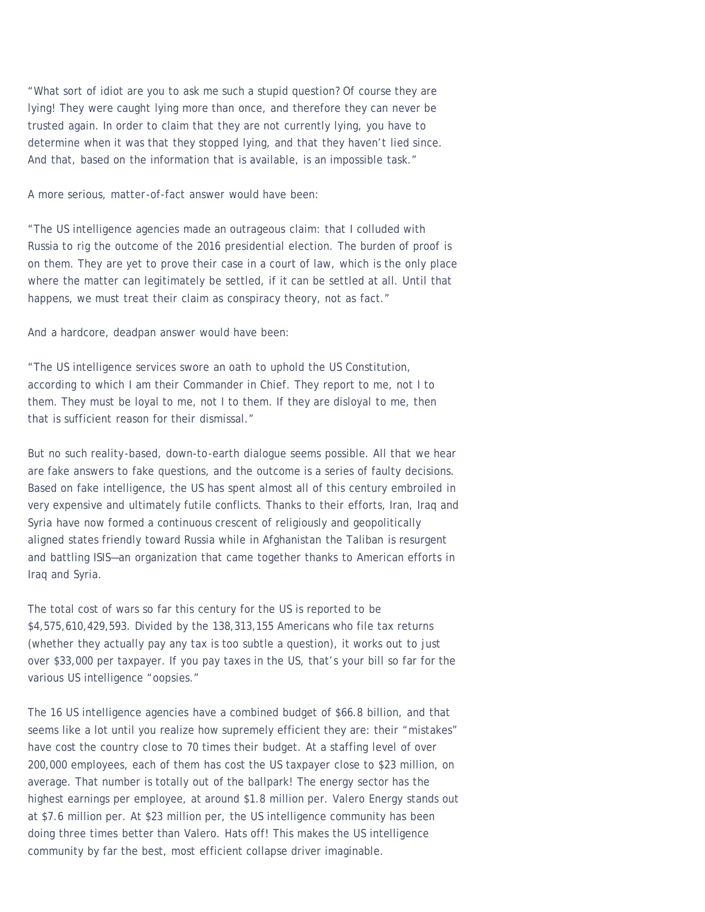"What sort of idiot are you to ask me such a stupid question? Of course they are lying! They were caught lying more than once, and therefore they can never be trusted again. In order to claim that they are not currently lying, you have to determine when it was that they stopped lying, and that they haven't lied since. And that, based on the information that is available, is an impossible task."

A more serious, matter-of-fact answer would have been:

"The US intelligence agencies made an outrageous claim: that I colluded with Russia to rig the outcome of the 2016 presidential election. The burden of proof is on them. They are yet to prove their case in a court of law, which is the only place where the matter can legitimately be settled, if it can be settled at all. Until that happens, we must treat their claim as conspiracy theory, not as fact."

And a hardcore, deadpan answer would have been:

"The US intelligence services swore an oath to uphold the US Constitution, according to which I am their Commander in Chief. They report to me, not I to them. They must be loyal to me, not I to them. If they are disloyal to me, then that is sufficient reason for their dismissal."

But no such reality-based, down-to-earth dialogue seems possible. All that we hear are fake answers to fake questions, and the outcome is a series of faulty decisions. Based on fake intelligence, the US has spent almost all of this century embroiled in very expensive and ultimately futile conflicts. Thanks to their efforts, Iran, Iraq and Syria have now formed a continuous crescent of religiously and geopolitically aligned states friendly toward Russia while in Afghanistan the Taliban is resurgent and battling ISIS—an organization that came together thanks to American efforts in Iraq and Syria.

The total cost of wars so far this century for the US is reported to be \$4,575,610,429,593. Divided by the 138,313,155 Americans who file tax returns (whether they actually pay any tax is too subtle a question), it works out to just over \$33,000 per taxpayer. If you pay taxes in the US, that's your bill so far for the various US intelligence "oopsies."

The 16 US intelligence agencies have a combined budget of \$66.8 billion, and that seems like a lot until you realize how supremely efficient they are: their "mistakes" have cost the country close to 70 times their budget. At a staffing level of over 200,000 employees, each of them has cost the US taxpayer close to \$23 million, on average. That number is totally out of the ballpark! The energy sector has the highest earnings per employee, at around \$1.8 million per. Valero Energy stands out at \$7.6 million per. At \$23 million per, the US intelligence community has been doing three times better than Valero. Hats off! This makes the US intelligence community by far the best, most efficient collapse driver imaginable.